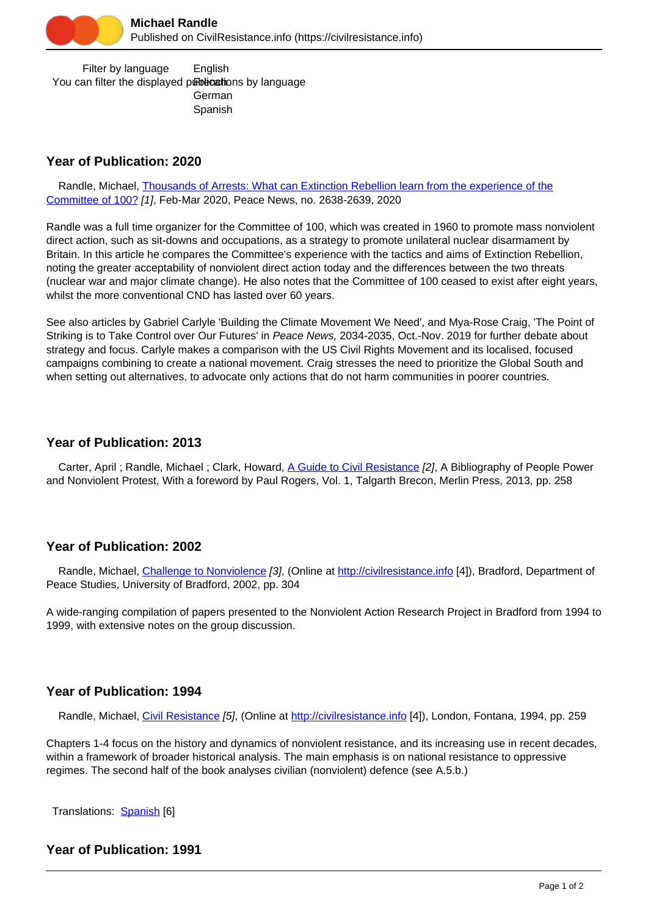

 Filter by language You can filter the displayed publications by language English German Spanish

# **Year of Publication: 2020**

 Randle, Michael, [Thousands of Arrests: What can Extinction Rebellion learn from the experience of the](https://civilresistance.info/biblio-item/2020/thousands-arrests-what-can-extinction-rebellion-learn-experience-committee-100) [Committee of 100?](https://civilresistance.info/biblio-item/2020/thousands-arrests-what-can-extinction-rebellion-learn-experience-committee-100) [1], Feb-Mar 2020, Peace News, no. 2638-2639, 2020

Randle was a full time organizer for the Committee of 100, which was created in 1960 to promote mass nonviolent direct action, such as sit-downs and occupations, as a strategy to promote unilateral nuclear disarmament by Britain. In this article he compares the Committee's experience with the tactics and aims of Extinction Rebellion, noting the greater acceptability of nonviolent direct action today and the differences between the two threats (nuclear war and major climate change). He also notes that the Committee of 100 ceased to exist after eight years, whilst the more conventional CND has lasted over 60 years.

See also articles by Gabriel Carlyle 'Building the Climate Movement We Need', and Mya-Rose Craig, 'The Point of Striking is to Take Control over Our Futures' in Peace News, 2034-2035, Oct.-Nov. 2019 for further debate about strategy and focus. Carlyle makes a comparison with the US Civil Rights Movement and its localised, focused campaigns combining to create a national movement. Craig stresses the need to prioritize the Global South and when setting out alternatives, to advocate only actions that do not harm communities in poorer countries.

# **Year of Publication: 2013**

Carter, April ; Randle, Michael ; Clark, Howard, [A Guide to Civil Resistance](https://civilresistance.info/biblio-item/2013/guide-civil-resistance) [2], A Bibliography of People Power and Nonviolent Protest, With a foreword by Paul Rogers, Vol. 1, Talgarth Brecon, Merlin Press, 2013, pp. 258

# **Year of Publication: 2002**

 Randle, Michael, [Challenge to Nonviolence](https://civilresistance.info/biblio-item/2002/challenge-nonviolence) [3], (Online at<http://civilresistance.info> [4]), Bradford, Department of Peace Studies, University of Bradford, 2002, pp. 304

A wide-ranging compilation of papers presented to the Nonviolent Action Research Project in Bradford from 1994 to 1999, with extensive notes on the group discussion.

# **Year of Publication: 1994**

Randle, Michael, [Civil Resistance](https://civilresistance.info/biblio-item/1994/civil-resistance) [5], (Online at <http://civilresistance.info> [4]), London, Fontana, 1994, pp. 259

Chapters 1-4 focus on the history and dynamics of nonviolent resistance, and its increasing use in recent decades, within a framework of broader historical analysis. The main emphasis is on national resistance to oppressive regimes. The second half of the book analyses civilian (nonviolent) defence (see A.5.b.)

Translations: [Spanish](https://civilresistance.info/biblio-item/1998/resistencia-civil) [6]

# **Year of Publication: 1991**